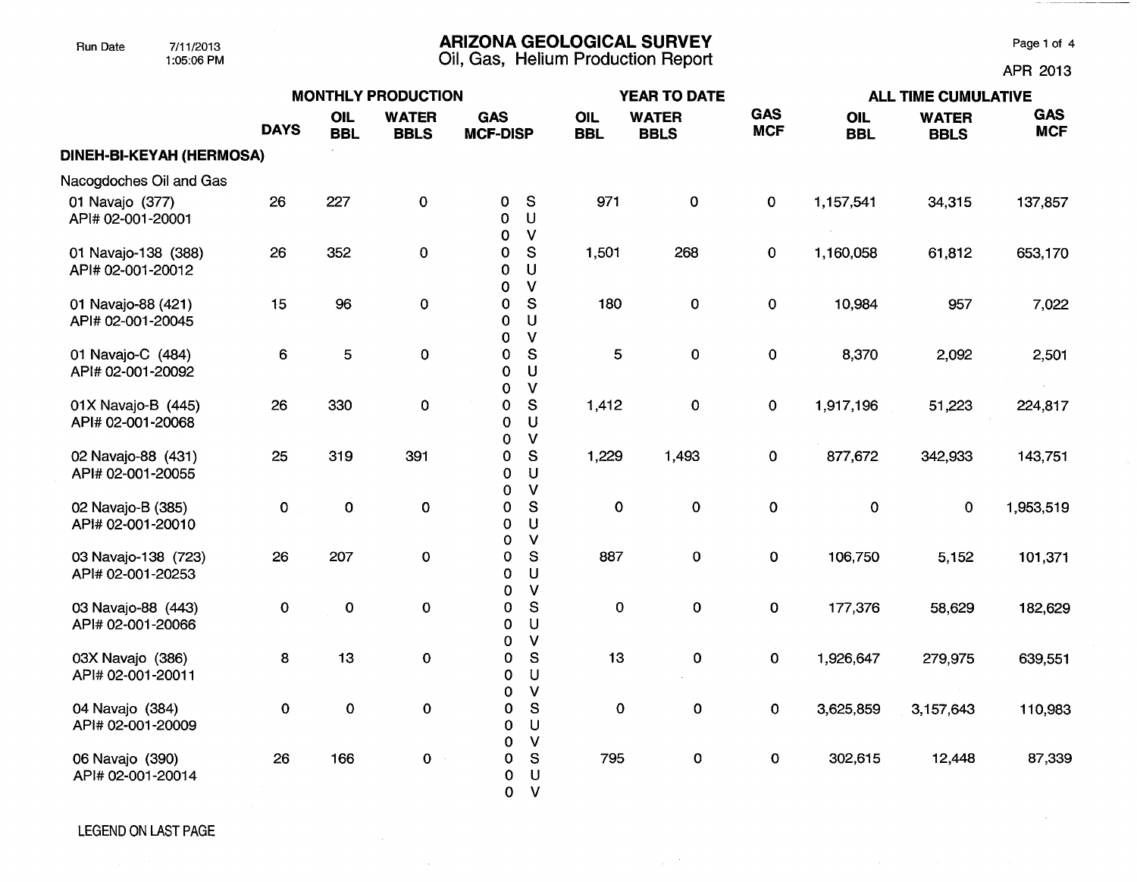### Run Date 7/11/2013 **ARIZONA GEOLOGICAL SURVEY** Page 1 of 4

1:05:06 PM Oil, Gas, Helium Production Report APR 2013

|                                          | <b>MONTHLY PRODUCTION</b> |                   |                             |                                           |                                         |                   | <b>YEAR TO DATE</b>         |                          | <b>ALL TIME CUMULATIVE</b> |                             |                          |  |
|------------------------------------------|---------------------------|-------------------|-----------------------------|-------------------------------------------|-----------------------------------------|-------------------|-----------------------------|--------------------------|----------------------------|-----------------------------|--------------------------|--|
|                                          | <b>DAYS</b>               | OIL<br><b>BBL</b> | <b>WATER</b><br><b>BBLS</b> | <b>GAS</b><br><b>MCF-DISP</b>             |                                         | OIL<br><b>BBL</b> | <b>WATER</b><br><b>BBLS</b> | <b>GAS</b><br><b>MCF</b> | OIL<br><b>BBL</b>          | <b>WATER</b><br><b>BBLS</b> | <b>GAS</b><br><b>MCF</b> |  |
| <b>DINEH-BI-KEYAH (HERMOSA)</b>          |                           |                   |                             |                                           |                                         |                   |                             |                          |                            |                             |                          |  |
| Nacogdoches Oil and Gas                  |                           |                   |                             |                                           |                                         |                   |                             |                          |                            |                             |                          |  |
| 01 Navajo (377)<br>API# 02-001-20001     | 26                        | 227               | 0                           | 0<br>0<br>0                               | $\mathsf{s}$<br>U<br>$\mathsf{V}$       | 971               | $\mathbf 0$                 | $\mathbf 0$              | 1,157,541                  | 34,315                      | 137,857                  |  |
| 01 Navajo-138 (388)<br>API# 02-001-20012 | 26                        | 352               | $\mathbf 0$                 | 0<br>0<br>0                               | S<br>$\cup$<br>$\mathsf{V}$             | 1,501             | 268                         | 0                        | 1,160,058                  | 61,812                      | 653,170                  |  |
| 01 Navajo-88 (421)<br>API# 02-001-20045  | 15                        | 96                | 0                           | 0<br>$\mathbf 0$<br>0                     | ${\mathbb S}$<br>U<br>$\mathsf{V}$      | 180               | $\mathbf 0$                 | $\mathbf 0$              | 10,984                     | 957                         | 7,022                    |  |
| 01 Navajo-C (484)<br>API# 02-001-20092   | 6                         | 5                 | $\mathbf 0$                 | $\mathbf 0$<br>$\mathbf 0$<br>$\mathbf 0$ | S<br>U<br>$\mathsf{V}$                  | 5                 | $\mathbf 0$                 | $\mathbf 0$              | 8,370                      | 2,092                       | 2,501                    |  |
| 01X Navajo-B (445)<br>API# 02-001-20068  | 26                        | 330               | $\pmb{0}$                   | $\pmb{0}$<br>$\mathbf 0$<br>0             | S<br>U<br>$\mathsf V$                   | 1,412             | 0                           | $\mathbf 0$              | 1,917,196                  | 51,223                      | 224,817                  |  |
| 02 Navajo-88 (431)<br>API# 02-001-20055  | 25                        | 319               | 391                         | 0<br>$\mathbf 0$<br>0                     | ${\mathsf S}$<br>U<br>$\mathsf{V}$      | 1,229             | 1,493                       | $\mathbf 0$              | 877,672                    | 342,933                     | 143,751                  |  |
| 02 Navajo-B (385)<br>API# 02-001-20010   | $\pmb{0}$                 | $\mathbf 0$       | 0                           | 0<br>0<br>$\mathbf 0$                     | ${\sf S}$<br>U<br>$\mathbf v$           | $\mathbf 0$       | $\mathbf 0$                 | $\mathbf 0$              | $\mathbf 0$                | $\mathbf 0$                 | 1,953,519                |  |
| 03 Navajo-138 (723)<br>API# 02-001-20253 | 26                        | 207               | 0                           | 0<br>$\mathbf 0$<br>0                     | ${\mathbf S}$<br>U<br>$\mathsf{V}$      | 887               | 0                           | 0                        | 106,750                    | 5,152                       | 101,371                  |  |
| 03 Navajo-88 (443)<br>API# 02-001-20066  | $\pmb{0}$                 | $\pmb{0}$         | $\mathbf 0$                 | 0<br>0<br>0                               | S<br>U<br>$\mathsf{V}$                  | $\pmb{0}$         | $\pmb{0}$                   | 0                        | 177,376                    | 58,629                      | 182,629                  |  |
| 03X Navajo (386)<br>API# 02-001-20011    | 8                         | 13                | $\mathbf 0$                 | $\pmb{\mathsf{O}}$<br>0<br>$\mathbf 0$    | ${\mathsf S}$<br>$\cup$<br>$\vee$       | 13                | $\mathbf 0$                 | $\pmb{0}$                | 1,926,647                  | 279,975                     | 639,551                  |  |
| 04 Navajo (384)<br>API# 02-001-20009     | $\mathbf 0$               | $\mathbf 0$       | $\mathbf 0$                 | 0<br>0<br>0                               | ${\mathsf S}$<br>$\cup$<br>$\mathsf{V}$ | 0                 | 0                           | 0                        | 3,625,859                  | 3,157,643                   | 110,983                  |  |
| 06 Navajo (390)<br>API# 02-001-20014     | 26                        | 166               | 0                           | 0<br>0<br>0                               | S<br>U<br>$\mathsf{V}$                  | 795               | $\mathbf 0$                 | $\mathbf{o}$             | 302,615                    | 12,448                      | 87,339                   |  |

 $\sim$   $\alpha$  .

 $\mathcal{L}_{\mathrm{int}}$  ,  $\mathcal{L}_{\mathrm{int}}$  ,  $\mathcal{L}_{\mathrm{int}}$ 

 $\sim$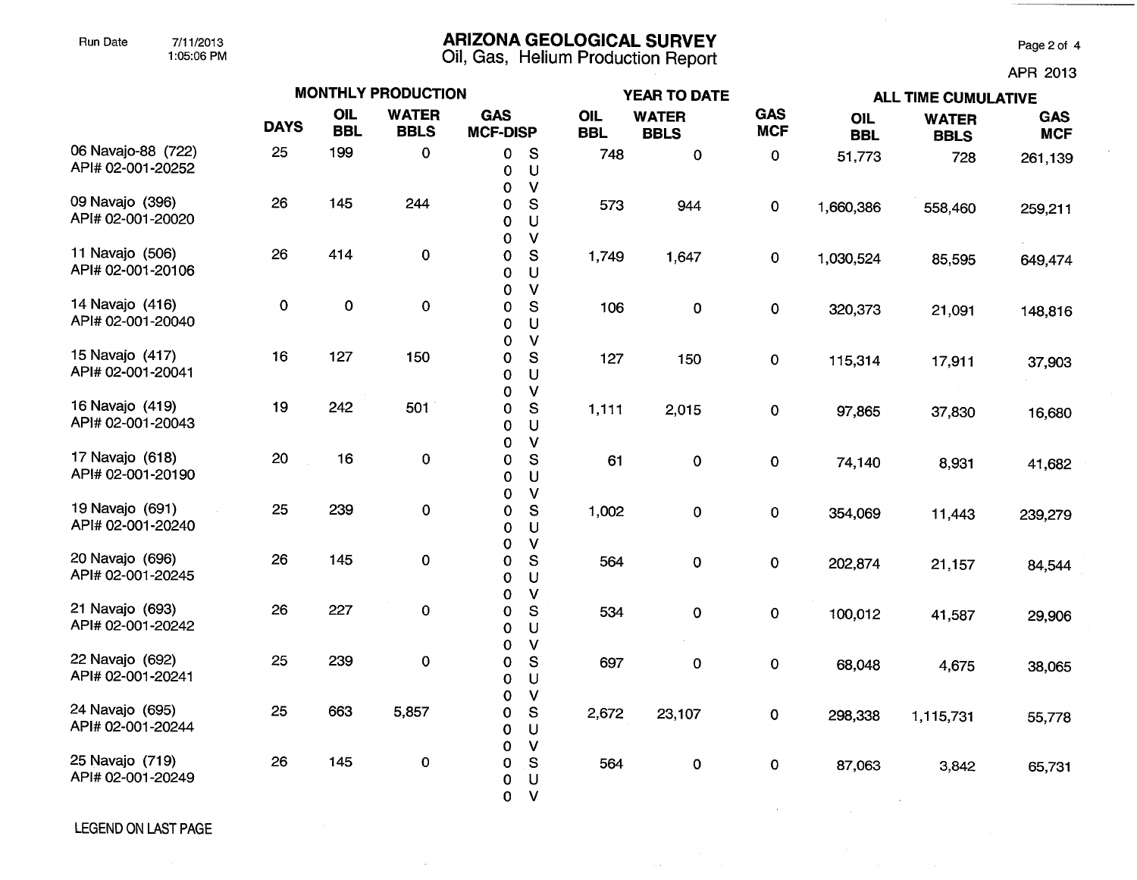# Run Date 7/11/2013 **ARIZONA GEOLOGICAL SURVEY** Page 2 of 4

1:05:06 PM Oil, Gas, **Helium Production Report** 

APR 2013

|                                         | <b>MONTHLY PRODUCTION</b> |                          |                             |                               |                                              |                   | YEAR TO DATE                |                          | <b>ALL TIME CUMULATIVE</b> |                             |                          |  |
|-----------------------------------------|---------------------------|--------------------------|-----------------------------|-------------------------------|----------------------------------------------|-------------------|-----------------------------|--------------------------|----------------------------|-----------------------------|--------------------------|--|
|                                         | <b>DAYS</b>               | <b>OIL</b><br><b>BBL</b> | <b>WATER</b><br><b>BBLS</b> | <b>GAS</b><br><b>MCF-DISP</b> |                                              | OIL<br><b>BBL</b> | <b>WATER</b><br><b>BBLS</b> | <b>GAS</b><br><b>MCF</b> | OIL<br><b>BBL</b>          | <b>WATER</b><br><b>BBLS</b> | <b>GAS</b><br><b>MCF</b> |  |
| 06 Navajo-88 (722)<br>API# 02-001-20252 | 25                        | 199                      | 0                           | 0<br>0<br>0                   | S<br>$\mathsf U$<br>$\mathsf{V}$             | 748               | $\pmb{0}$                   | $\pmb{0}$                | 51,773                     | 728                         | 261,139                  |  |
| 09 Navajo (396)<br>API# 02-001-20020    | 26                        | 145                      | 244                         | 0<br>0<br>0                   | S<br>U<br>$\mathsf{V}$                       | 573               | 944                         | 0                        | 1,660,386                  | 558,460                     | 259,211                  |  |
| 11 Navajo (506)<br>API# 02-001-20106    | 26                        | 414                      | 0                           | $\bf{0}$<br>0                 | ${\mathbb S}$<br>$\cup$                      | 1,749             | 1,647                       | 0                        | 1,030,524                  | 85,595                      | 649,474                  |  |
| 14 Navajo (416)<br>API# 02-001-20040    | $\mathbf 0$               | $\mathbf 0$              | 0                           | 0<br>0<br>0                   | $\mathsf{V}$<br>S<br>$\cup$                  | 106               | 0                           | 0                        | 320,373                    | 21,091                      | 148,816                  |  |
| 15 Navajo (417)<br>API# 02-001-20041    | 16                        | 127                      | 150                         | 0<br>0<br>0                   | $\mathsf{V}$<br>S<br>U                       | 127               | 150                         | $\mathbf{O}$             | 115,314                    | 17,911                      | 37,903                   |  |
| 16 Navajo (419)<br>API# 02-001-20043    | 19                        | 242                      | 501                         | 0<br>0<br>0                   | $\mathsf{V}$<br>S<br>U                       | 1,111             | 2,015                       | 0                        | 97,865                     | 37,830                      | 16,680                   |  |
| 17 Navajo (618)<br>API# 02-001-20190    | 20                        | 16                       | 0                           | 0<br>0<br>0                   | $\mathsf{V}$<br>${\mathsf S}$<br>$\mathsf U$ | 61                | $\pmb{0}$                   | 0                        | 74,140                     | 8,931                       | 41,682                   |  |
| 19 Navajo (691)<br>API# 02-001-20240    | 25                        | 239                      | 0                           | 0<br>0<br>0                   | $\mathsf{V}$<br>S<br>U                       | 1,002             | 0                           | 0                        | 354,069                    | 11,443                      | 239,279                  |  |
| 20 Navajo (696)<br>API# 02-001-20245    | 26                        | 145                      | 0                           | 0<br>0<br>0                   | $\mathsf{V}$<br>S<br>U                       | 564               | $\pmb{0}$                   | 0                        | 202,874                    | 21,157                      | 84,544                   |  |
| 21 Navajo (693)<br>API# 02-001-20242    | 26                        | 227                      | 0                           | 0<br>0<br>0                   | $\mathsf{V}$<br>$\mathbf{s}$<br>U            | 534               | $\pmb{0}$                   | $\pmb{0}$                | 100,012                    | 41,587                      | 29,906                   |  |
| 22 Navajo (692)<br>API# 02-001-20241    | 25                        | 239                      | 0                           | 0<br>0<br>0                   | $\mathsf{V}$<br>S<br>U                       | 697               | $\mathbf 0$                 | 0                        | 68,048                     | 4,675                       | 38,065                   |  |
| 24 Navajo (695)<br>API# 02-001-20244    | 25                        | 663                      | 5,857                       | 0<br>0<br>0                   | $\mathsf{V}$<br>${\mathsf S}$<br>U           | 2,672             | 23,107                      | 0                        | 298,338                    | 1,115,731                   | 55,778                   |  |
| 25 Navajo (719)<br>API# 02-001-20249    | 26                        | 145                      | $\pmb{0}$                   | 0<br>0<br>0<br>$\mathbf 0$    | $\vee$<br>S<br>U<br>$\mathbf{V}$             | 564               | $\mathbf 0$                 | $\mathbf 0$              | 87,063                     | 3,842                       | 65,731                   |  |

 $\sim$   $\sim$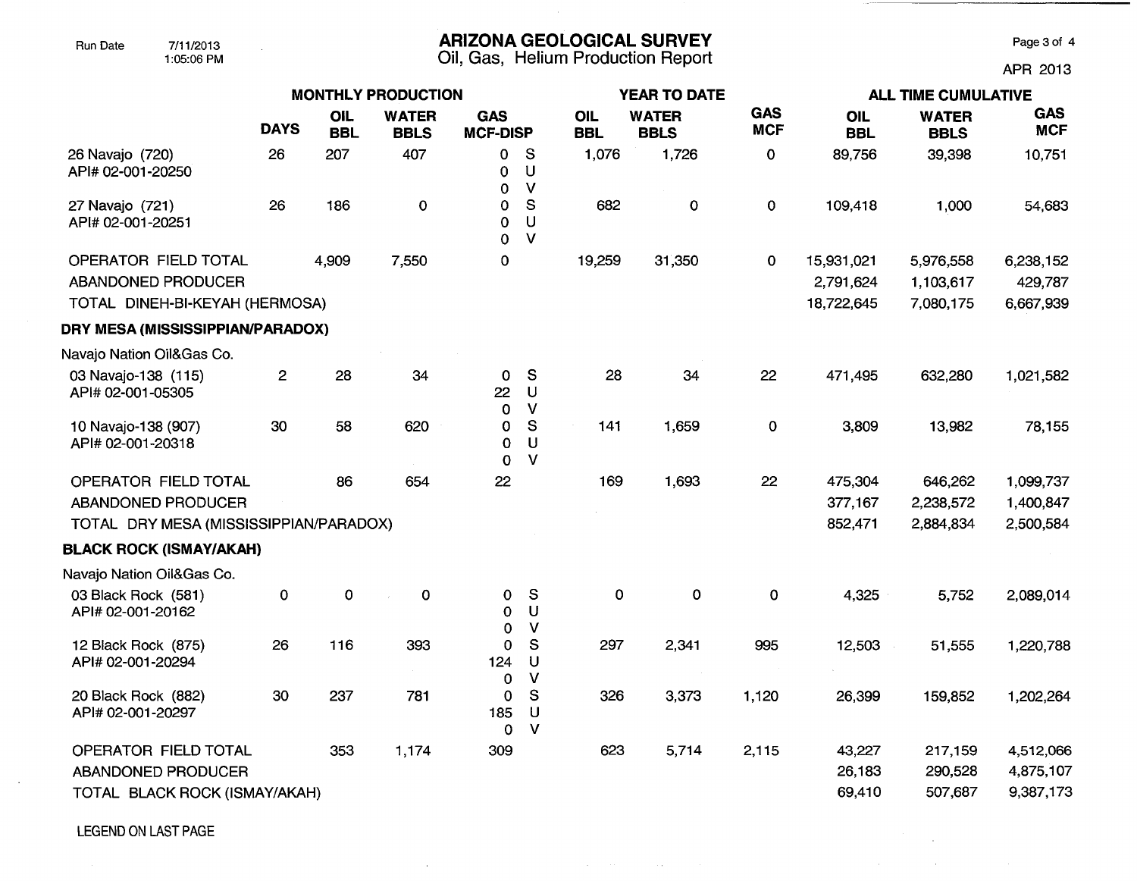## Run Date 7/11/2013 **ARIZONA GEOLOGICAL SURVEY** Page 3 of 4

1:05:06 PM Oil, Gas, Helium Production Report APR 2013

 $\sim 10^7$  $\mathcal{L}(\mathcal{A})$  and  $\mathcal{L}(\mathcal{A})$  are the set of the set of  $\mathcal{L}(\mathcal{A})$ 

|                                                                                     |                |                          | <b>MONTHLY PRODUCTION</b>   |                               |                              |                   | <b>YEAR TO DATE</b>         |                          | <b>ALL TIME CUMULATIVE</b>            |                                     |                                     |  |
|-------------------------------------------------------------------------------------|----------------|--------------------------|-----------------------------|-------------------------------|------------------------------|-------------------|-----------------------------|--------------------------|---------------------------------------|-------------------------------------|-------------------------------------|--|
|                                                                                     | <b>DAYS</b>    | <b>OIL</b><br><b>BBL</b> | <b>WATER</b><br><b>BBLS</b> | <b>GAS</b><br><b>MCF-DISP</b> |                              | OIL<br><b>BBL</b> | <b>WATER</b><br><b>BBLS</b> | <b>GAS</b><br><b>MCF</b> | OIL<br><b>BBL</b>                     | <b>WATER</b><br><b>BBLS</b>         | <b>GAS</b><br><b>MCF</b>            |  |
| 26 Navajo (720)<br>API# 02-001-20250                                                | 26             | 207                      | 407                         | 0<br>0<br>0                   | S<br>U<br>$\mathbf v$        | 1,076             | 1,726                       | $\pmb{0}$                | 89,756                                | 39,398                              | 10,751                              |  |
| 27 Navajo (721)<br>API# 02-001-20251                                                | 26             | 186                      | $\mathbf 0$                 | 0<br>0<br>$\Omega$            | ${\mathsf S}$<br>U<br>$\vee$ | 682               | 0                           | $\pmb{0}$                | 109,418                               | 1,000                               | 54,683                              |  |
| OPERATOR FIELD TOTAL<br><b>ABANDONED PRODUCER</b><br>TOTAL DINEH-BI-KEYAH (HERMOSA) |                | 4,909                    | 7,550                       | 0                             |                              | 19,259            | 31,350                      | $\mathbf 0$              | 15,931,021<br>2,791,624<br>18,722,645 | 5,976,558<br>1,103,617<br>7,080,175 | 6,238,152<br>429,787<br>6,667,939   |  |
| DRY MESA (MISSISSIPPIAN/PARADOX)                                                    |                |                          |                             |                               |                              |                   |                             |                          |                                       |                                     |                                     |  |
| Navajo Nation Oil&Gas Co.                                                           |                |                          |                             |                               |                              |                   |                             |                          |                                       |                                     |                                     |  |
| 03 Navajo-138 (115)<br>API# 02-001-05305                                            | $\overline{c}$ | 28                       | 34                          | $\mathbf 0$<br>22<br>0        | S<br>U<br>$\mathsf{V}$       | 28                | 34                          | 22                       | 471,495                               | 632,280                             | 1,021,582                           |  |
| 10 Navajo-138 (907)<br>API# 02-001-20318                                            | 30             | 58                       | 620                         | 0<br>0<br>$\Omega$            | S<br>$\bigcup$<br>$\vee$     | 141               | 1,659                       | $\mathbf 0$              | 3,809                                 | 13,982                              | 78,155                              |  |
| OPERATOR FIELD TOTAL                                                                |                | 86                       | 654                         | 22                            |                              | 169               | 1,693                       | 22                       | 475,304                               | 646,262                             | 1,099,737                           |  |
| ABANDONED PRODUCER                                                                  |                |                          |                             |                               |                              |                   |                             |                          | 377,167                               | 2,238,572                           | 1,400,847                           |  |
| TOTAL DRY MESA (MISSISSIPPIAN/PARADOX)                                              |                |                          |                             |                               |                              |                   |                             |                          | 852,471                               | 2,884,834                           | 2,500,584                           |  |
| <b>BLACK ROCK (ISMAY/AKAH)</b>                                                      |                |                          |                             |                               |                              |                   |                             |                          |                                       |                                     |                                     |  |
| Navajo Nation Oil&Gas Co.                                                           |                |                          |                             |                               |                              |                   |                             |                          |                                       |                                     |                                     |  |
| 03 Black Rock (581)<br>API# 02-001-20162                                            | 0              | 0                        | $\mathbf 0$                 | $\Omega$<br>0<br>$\Omega$     | S<br>U<br>V                  | 0                 | $\mathbf 0$                 | $\mathbf 0$              | 4,325                                 | 5,752                               | 2,089,014                           |  |
| 12 Black Rock (875)<br>API# 02-001-20294                                            | 26             | 116                      | 393                         | 0<br>124<br>0                 | S<br>$\mathsf{U}%$<br>V      | 297               | 2,341                       | 995                      | 12,503                                | 51,555                              | 1,220,788                           |  |
| 20 Black Rock (882)<br>API# 02-001-20297                                            | 30             | 237                      | 781                         | 0<br>185<br>0                 | S<br>U<br>$\mathsf{V}$       | 326               | 3,373                       | 1,120                    | 26,399                                | 159,852                             | 1,202,264                           |  |
| <b>OPERATOR FIELD TOTAL</b><br>ABANDONED PRODUCER<br>TOTAL BLACK ROCK (ISMAY/AKAH)  |                | 353                      | 1,174                       | 309                           |                              | 623               | 5,714                       | 2,115                    | 43,227<br>26,183<br>69,410            | 217,159<br>290,528<br>507,687       | 4,512,066<br>4,875,107<br>9,387,173 |  |
|                                                                                     |                |                          |                             |                               |                              |                   |                             |                          |                                       |                                     |                                     |  |

 $\mathcal{L}_{\text{max}}$  and  $\mathcal{L}_{\text{max}}$  and  $\mathcal{L}_{\text{max}}$  and  $\mathcal{L}_{\text{max}}$  and  $\mathcal{L}_{\text{max}}$ 

 $\sim$ 

LEGEND ON LAST PAGE

 $\sim$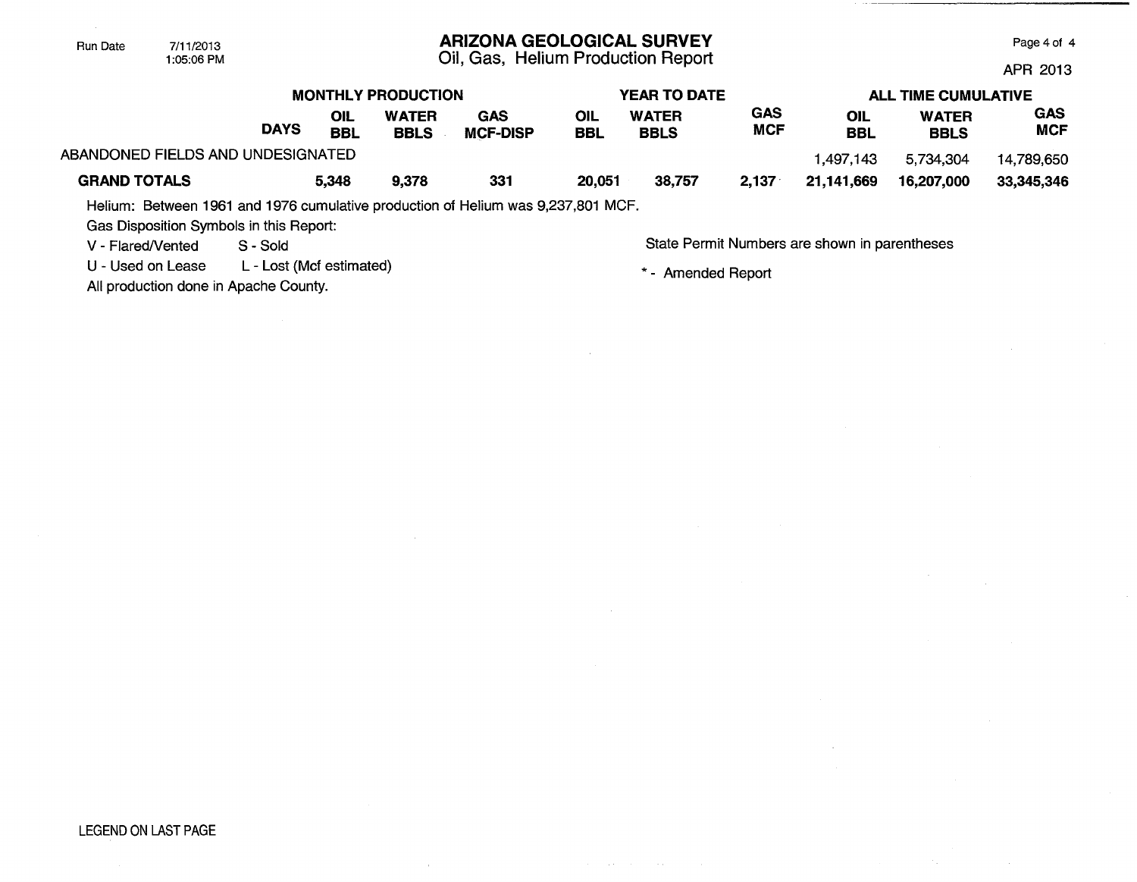| Run Date | 7/11/2013  |
|----------|------------|
|          | 1:05:06 PM |

### ARIZONA GEOLOGICAL SURVEY

Oil, Gas, Helium Production Report

Page 4 of 4

APR 2013

|                                   |             |                   | <b>MONTHLY PRODUCTION</b>   |                        | YEAR TO DATE |                             |                   | <b>ALL TIME CUMULATIVE</b> |                             |                          |
|-----------------------------------|-------------|-------------------|-----------------------------|------------------------|--------------|-----------------------------|-------------------|----------------------------|-----------------------------|--------------------------|
|                                   | <b>DAYS</b> | OIL<br><b>BBL</b> | <b>WATER</b><br><b>BBLS</b> | GAS<br><b>MCF-DISP</b> | OIL<br>BBL   | <b>WATER</b><br><b>BBLS</b> | GAS<br><b>MCF</b> | OIL<br><b>BBL</b>          | <b>WATER</b><br><b>BBLS</b> | <b>GAS</b><br><b>MCF</b> |
| ABANDONED FIELDS AND UNDESIGNATED |             |                   |                             |                        |              |                             |                   | 1.497.143                  | 5,734,304                   | 14,789,650               |
| <b>GRAND TOTALS</b>               |             | 5,348             | 9,378                       | 331                    | 20,051       | 38,757                      | 2,137             | 21.141.669                 | 16,207,000                  | 33.345.346               |

Helium: Between 1961 and 1976 cumulative production of Helium was 9,237,801 MCF.

Gas Disposition Symbols in this Report:

U - Used on Lease L - Lost (Mcf estimated)

All production done in Apache County.

V - Flared/Vented S - Sold S - Sold State Permit Numbers are shown in parentheses

\* - Amended Report